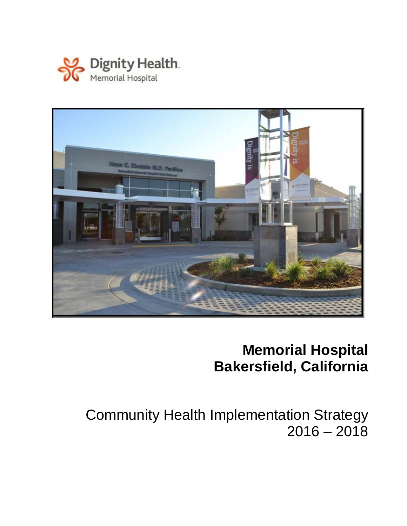



# **Memorial Hospital Bakersfield, California**

Community Health Implementation Strategy  $2016 - 2018$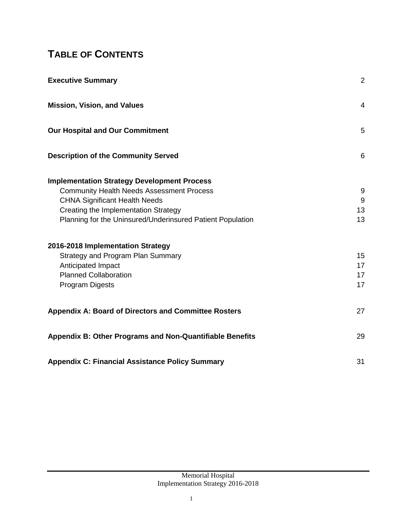## **TABLE OF CONTENTS**

| <b>Executive Summary</b>                                        |    |
|-----------------------------------------------------------------|----|
| <b>Mission, Vision, and Values</b>                              | 4  |
| Our Hospital and Our Commitment                                 | 5  |
| <b>Description of the Community Served</b>                      | 6  |
| <b>Implementation Strategy Development Process</b>              |    |
| <b>Community Health Needs Assessment Process</b>                | 9  |
| <b>CHNA Significant Health Needs</b>                            | 9  |
| Creating the Implementation Strategy                            | 13 |
| Planning for the Uninsured/Underinsured Patient Population      | 13 |
| 2016-2018 Implementation Strategy                               |    |
| Strategy and Program Plan Summary                               | 15 |
| Anticipated Impact                                              | 17 |
| <b>Planned Collaboration</b>                                    | 17 |
| Program Digests                                                 | 17 |
| <b>Appendix A: Board of Directors and Committee Rosters</b>     | 27 |
| <b>Appendix B: Other Programs and Non-Quantifiable Benefits</b> | 29 |
| <b>Appendix C: Financial Assistance Policy Summary</b>          | 31 |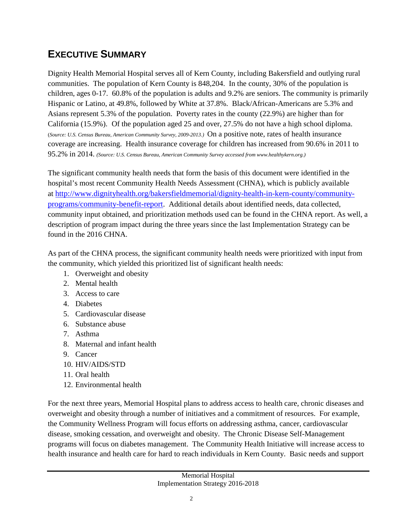### **EXECUTIVE SUMMARY**

Dignity Health Memorial Hospital serves all of Kern County, including Bakersfield and outlying rural communities. The population of Kern County is 848,204. In the county, 30% of the population is children, ages 0-17. 60.8% of the population is adults and 9.2% are seniors. The community is primarily Hispanic or Latino, at 49.8%, followed by White at 37.8%. Black/African-Americans are 5.3% and Asians represent 5.3% of the population. Poverty rates in the county (22.9%) are higher than for California (15.9%). Of the population aged 25 and over, 27.5% do not have a high school diploma. (*Source: U.S. Census Bureau, American Community Survey, 2009-2013.)* On a positive note, rates of health insurance coverage are increasing. Health insurance coverage for children has increased from 90.6% in 2011 to 95.2% in 2014. *(Source: U.S. Census Bureau, American Community Survey accessed from www.healthykern.org.)*

The significant community health needs that form the basis of this document were identified in the hospital's most recent Community Health Needs Assessment (CHNA), which is publicly available at [http://www.dignityhealth.org/bakersfieldmemorial/dignity-health-in-kern-county/community](http://www.dignityhealth.org/bakersfieldmemorial/dignity-health-in-kern-county/community-programs/community-benefit-report)[programs/community-benefit-report.](http://www.dignityhealth.org/bakersfieldmemorial/dignity-health-in-kern-county/community-programs/community-benefit-report) Additional details about identified needs, data collected, community input obtained, and prioritization methods used can be found in the CHNA report. As well, a description of program impact during the three years since the last Implementation Strategy can be found in the 2016 CHNA.

As part of the CHNA process, the significant community health needs were prioritized with input from the community, which yielded this prioritized list of significant health needs:

- 1. Overweight and obesity
- 2. Mental health
- 3. Access to care
- 4. Diabetes
- 5. Cardiovascular disease
- 6. Substance abuse
- 7. Asthma
- 8. Maternal and infant health
- 9. Cancer
- 10. HIV/AIDS/STD
- 11. Oral health
- 12. Environmental health

For the next three years, Memorial Hospital plans to address access to health care, chronic diseases and overweight and obesity through a number of initiatives and a commitment of resources. For example, the Community Wellness Program will focus efforts on addressing asthma, cancer, cardiovascular disease, smoking cessation, and overweight and obesity. The Chronic Disease Self-Management programs will focus on diabetes management. The Community Health Initiative will increase access to health insurance and health care for hard to reach individuals in Kern County. Basic needs and support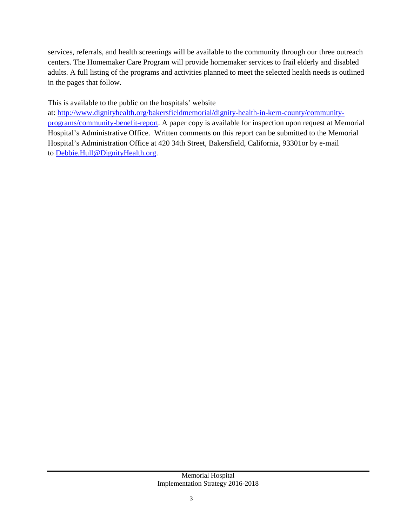services, referrals, and health screenings will be available to the community through our three outreach centers. The Homemaker Care Program will provide homemaker services to frail elderly and disabled adults. A full listing of the programs and activities planned to meet the selected health needs is outlined in the pages that follow.

This is available to the public on the hospitals' website

at: [http://www.dignityhealth.org/bakersfieldmemorial/dignity-health-in-kern-county/community](http://www.dignityhealth.org/bakersfieldmemorial/dignity-health-in-kern-county/community-programs/community-benefit-report)[programs/community-benefit-report.](http://www.dignityhealth.org/bakersfieldmemorial/dignity-health-in-kern-county/community-programs/community-benefit-report) A paper copy is available for inspection upon request at Memorial Hospital's Administrative Office. Written comments on this report can be submitted to the Memorial Hospital's Administration Office at 420 34th Street, Bakersfield, California, 93301or by e-mail to [Debbie.Hull@DignityHealth.org.](mailto:Debbie.Hull@DignityHealth.org)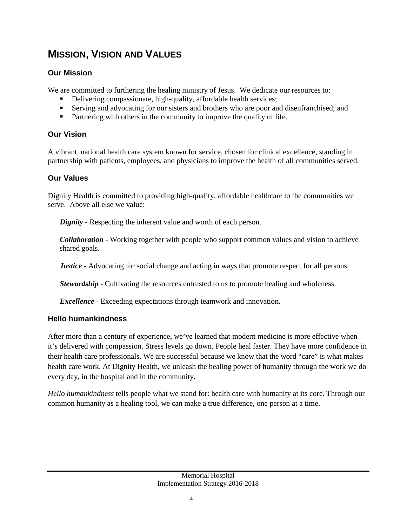### **MISSION, VISION AND VALUES**

#### **Our Mission**

We are committed to furthering the healing ministry of Jesus. We dedicate our resources to:

- Delivering compassionate, high-quality, affordable health services;
- Serving and advocating for our sisters and brothers who are poor and disenfranchised; and
- Partnering with others in the community to improve the quality of life.

#### **Our Vision**

A vibrant, national health care system known for service, chosen for clinical excellence, standing in partnership with patients, employees, and physicians to improve the health of all communities served.

#### **Our Values**

Dignity Health is committed to providing high-quality, affordable healthcare to the communities we serve. Above all else we value:

*Dignity* - Respecting the inherent value and worth of each person.

*Collaboration* - Working together with people who support common values and vision to achieve shared goals.

*Justice* - Advocating for social change and acting in ways that promote respect for all persons.

*Stewardship* - Cultivating the resources entrusted to us to promote healing and wholeness.

*Excellence* - Exceeding expectations through teamwork and innovation.

### **Hello humankindness**

After more than a century of experience, we've learned that modern medicine is more effective when it's delivered with compassion. Stress levels go down. People heal faster. They have more confidence in their health care professionals. We are successful because we know that the word "care" is what makes health care work. At Dignity Health, we unleash the healing power of humanity through the work we do every day, in the hospital and in the community.

*Hello humankindness* tells people what we stand for: health care with humanity at its core. Through our common humanity as a healing tool, we can make a true difference, one person at a time.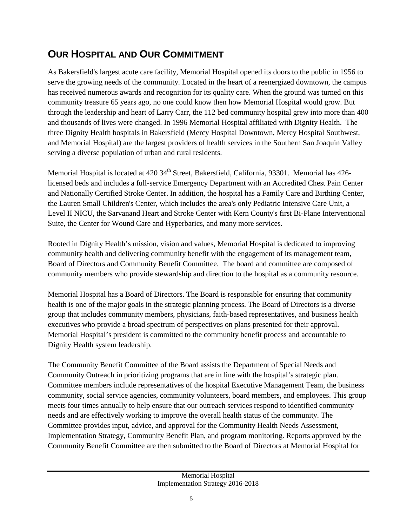### **OUR HOSPITAL AND OUR COMMITMENT**

As Bakersfield's largest acute care facility, Memorial Hospital opened its doors to the public in 1956 to serve the growing needs of the community. Located in the heart of a reenergized downtown, the campus has received numerous awards and recognition for its quality care. When the ground was turned on this community treasure 65 years ago, no one could know then how Memorial Hospital would grow. But through the leadership and heart of Larry Carr, the 112 bed community hospital grew into more than 400 and thousands of lives were changed. In 1996 Memorial Hospital affiliated with Dignity Health. The three Dignity Health hospitals in Bakersfield (Mercy Hospital Downtown, Mercy Hospital Southwest, and Memorial Hospital) are the largest providers of health services in the Southern San Joaquin Valley serving a diverse population of urban and rural residents.

Memorial Hospital is located at 420 34<sup>th</sup> Street, Bakersfield, California, 93301. Memorial has 426licensed beds and includes a full-service Emergency Department with an Accredited Chest Pain Center and Nationally Certified Stroke Center. In addition, the hospital has a Family Care and Birthing Center, the Lauren Small Children's Center, which includes the area's only Pediatric Intensive Care Unit, a Level II NICU, the Sarvanand Heart and Stroke Center with Kern County's first Bi-Plane Interventional Suite, the Center for Wound Care and Hyperbarics, and many more services.

Rooted in Dignity Health's mission, vision and values, Memorial Hospital is dedicated to improving community health and delivering community benefit with the engagement of its management team, Board of Directors and Community Benefit Committee. The board and committee are composed of community members who provide stewardship and direction to the hospital as a community resource.

Memorial Hospital has a Board of Directors. The Board is responsible for ensuring that community health is one of the major goals in the strategic planning process. The Board of Directors is a diverse group that includes community members, physicians, faith-based representatives, and business health executives who provide a broad spectrum of perspectives on plans presented for their approval. Memorial Hospital's president is committed to the community benefit process and accountable to Dignity Health system leadership.

The Community Benefit Committee of the Board assists the Department of Special Needs and Community Outreach in prioritizing programs that are in line with the hospital's strategic plan. Committee members include representatives of the hospital Executive Management Team, the business community, social service agencies, community volunteers, board members, and employees. This group meets four times annually to help ensure that our outreach services respond to identified community needs and are effectively working to improve the overall health status of the community. The Committee provides input, advice, and approval for the Community Health Needs Assessment, Implementation Strategy, Community Benefit Plan, and program monitoring. Reports approved by the Community Benefit Committee are then submitted to the Board of Directors at Memorial Hospital for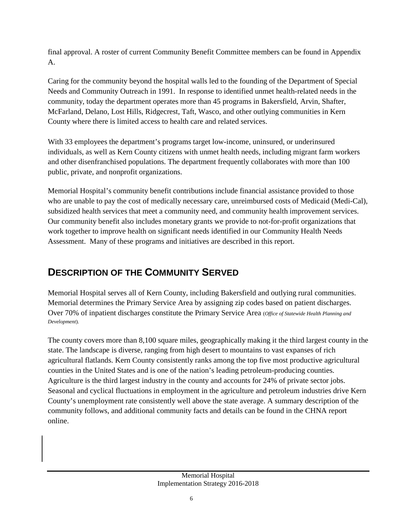final approval. A roster of current Community Benefit Committee members can be found in Appendix A.

Caring for the community beyond the hospital walls led to the founding of the Department of Special Needs and Community Outreach in 1991. In response to identified unmet health-related needs in the community, today the department operates more than 45 programs in Bakersfield, Arvin, Shafter, McFarland, Delano, Lost Hills, Ridgecrest, Taft, Wasco, and other outlying communities in Kern County where there is limited access to health care and related services.

With 33 employees the department's programs target low-income, uninsured, or underinsured individuals, as well as Kern County citizens with unmet health needs, including migrant farm workers and other disenfranchised populations. The department frequently collaborates with more than 100 public, private, and nonprofit organizations.

Memorial Hospital's community benefit contributions include financial assistance provided to those who are unable to pay the cost of medically necessary care, unreimbursed costs of Medicaid (Medi-Cal), subsidized health services that meet a community need, and community health improvement services. Our community benefit also includes monetary grants we provide to not-for-profit organizations that work together to improve health on significant needs identified in our Community Health Needs Assessment. Many of these programs and initiatives are described in this report.

## **DESCRIPTION OF THE COMMUNITY SERVED**

Memorial Hospital serves all of Kern County, including Bakersfield and outlying rural communities. Memorial determines the Primary Service Area by assigning zip codes based on patient discharges. Over 70% of inpatient discharges constitute the Primary Service Area (*Office of Statewide Health Planning and Development*).

The county covers more than 8,100 square miles, geographically making it the third largest county in the state. The landscape is diverse, ranging from high desert to mountains to vast expanses of rich agricultural flatlands. Kern County consistently ranks among the top five most productive agricultural counties in the United States and is one of the nation's leading petroleum-producing counties. Agriculture is the third largest industry in the county and accounts for 24% of private sector jobs. Seasonal and cyclical fluctuations in employment in the agriculture and petroleum industries drive Kern County's unemployment rate consistently well above the state average. A summary description of the community follows, and additional community facts and details can be found in the CHNA report online.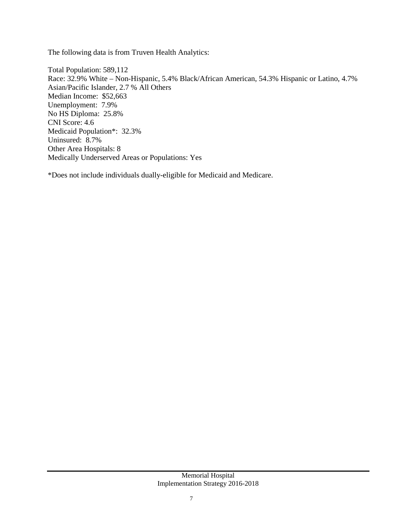The following data is from Truven Health Analytics:

Total Population: 589,112 Race: 32.9% White – Non-Hispanic, 5.4% Black/African American, 54.3% Hispanic or Latino, 4.7% Asian/Pacific Islander, 2.7 % All Others Median Income: \$52,663 Unemployment: 7.9% No HS Diploma: 25.8% CNI Score: 4.6 Medicaid Population\*: 32.3% Uninsured: 8.7% Other Area Hospitals: 8 Medically Underserved Areas or Populations: Yes

\*Does not include individuals dually-eligible for Medicaid and Medicare.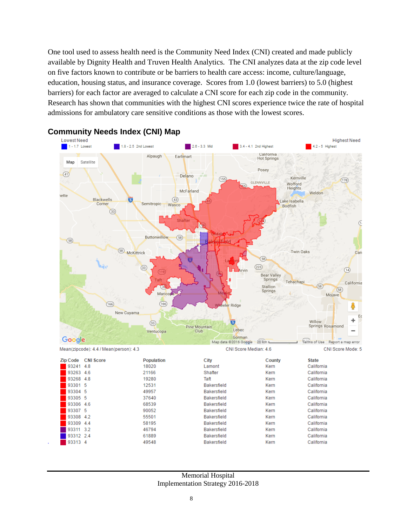One tool used to assess health need is the Community Need Index (CNI) created and made publicly available by Dignity Health and Truven Health Analytics. The CNI analyzes data at the zip code level on five factors known to contribute or be barriers to health care access: income, culture/language, education, housing status, and insurance coverage. Scores from 1.0 (lowest barriers) to 5.0 (highest barriers) for each factor are averaged to calculate a CNI score for each zip code in the community. Research has shown that communities with the highest CNI scores experience twice the rate of hospital admissions for ambulatory care sensitive conditions as those with the lowest scores.



# **Community Needs Index (CNI) Map**

#### Memorial Hospital Implementation Strategy 2016-2018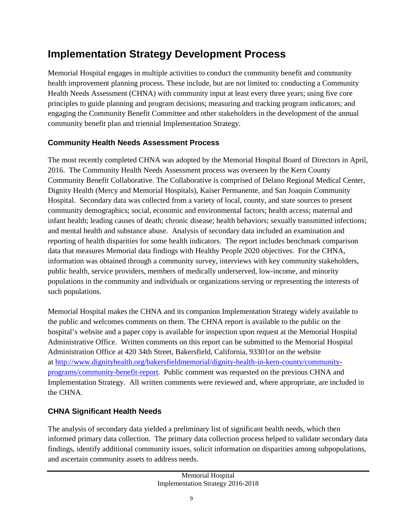## **Implementation Strategy Development Process**

Memorial Hospital engages in multiple activities to conduct the community benefit and community health improvement planning process. These include, but are not limited to: conducting a Community Health Needs Assessment (CHNA) with community input at least every three years; using five core principles to guide planning and program decisions; measuring and tracking program indicators; and engaging the Community Benefit Committee and other stakeholders in the development of the annual community benefit plan and triennial Implementation Strategy.

#### **Community Health Needs Assessment Process**

The most recently completed CHNA was adopted by the Memorial Hospital Board of Directors in April, 2016. The Community Health Needs Assessment process was overseen by the Kern County Community Benefit Collaborative. The Collaborative is comprised of Delano Regional Medical Center, Dignity Health (Mercy and Memorial Hospitals), Kaiser Permanente, and San Joaquin Community Hospital. Secondary data was collected from a variety of local, county, and state sources to present community demographics; social, economic and environmental factors; health access; maternal and infant health; leading causes of death; chronic disease; health behaviors; sexually transmitted infections; and mental health and substance abuse. Analysis of secondary data included an examination and reporting of health disparities for some health indicators. The report includes benchmark comparison data that measures Memorial data findings with Healthy People 2020 objectives. For the CHNA, information was obtained through a community survey, interviews with key community stakeholders, public health, service providers, members of medically underserved, low-income, and minority populations in the community and individuals or organizations serving or representing the interests of such populations.

Memorial Hospital makes the CHNA and its companion Implementation Strategy widely available to the public and welcomes comments on them. The CHNA report is available to the public on the hospital's website and a paper copy is available for inspection upon request at the Memorial Hospital Administrative Office. Written comments on this report can be submitted to the Memorial Hospital Administration Office at 420 34th Street, Bakersfield, California, 93301or on the website at [http://www.dignityhealth.org/bakersfieldmemorial/dignity-health-in-kern-county/community](http://www.dignityhealth.org/bakersfieldmemorial/dignity-health-in-kern-county/community-programs/community-benefit-report)[programs/community-benefit-report.](http://www.dignityhealth.org/bakersfieldmemorial/dignity-health-in-kern-county/community-programs/community-benefit-report) Public comment was requested on the previous CHNA and Implementation Strategy. All written comments were reviewed and, where appropriate, are included in the CHNA.

### **CHNA Significant Health Needs**

The analysis of secondary data yielded a preliminary list of significant health needs, which then informed primary data collection. The primary data collection process helped to validate secondary data findings, identify additional community issues, solicit information on disparities among subpopulations, and ascertain community assets to address needs.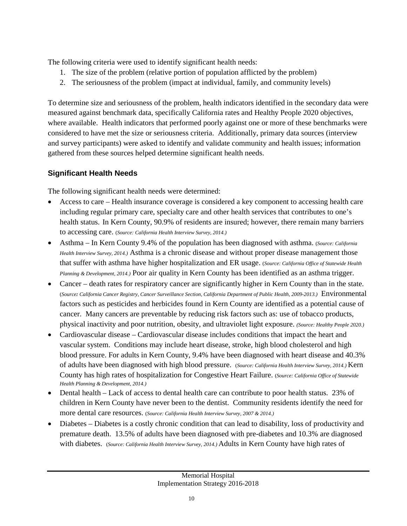The following criteria were used to identify significant health needs:

- 1. The size of the problem (relative portion of population afflicted by the problem)
- 2. The seriousness of the problem (impact at individual, family, and community levels)

To determine size and seriousness of the problem, health indicators identified in the secondary data were measured against benchmark data, specifically California rates and Healthy People 2020 objectives, where available. Health indicators that performed poorly against one or more of these benchmarks were considered to have met the size or seriousness criteria. Additionally, primary data sources (interview and survey participants) were asked to identify and validate community and health issues; information gathered from these sources helped determine significant health needs.

#### **Significant Health Needs**

The following significant health needs were determined:

- Access to care Health insurance coverage is considered a key component to accessing health care including regular primary care, specialty care and other health services that contributes to one's health status. In Kern County, 90.9% of residents are insured; however, there remain many barriers to accessing care. (*Source: California Health Interview Survey, 2014.)*
- Asthma In Kern County 9.4% of the population has been diagnosed with asthma. (*Source: California Health Interview Survey, 2014.)* Asthma is a chronic disease and without proper disease management those that suffer with asthma have higher hospitalization and ER usage. (*Source: California Office of Statewide Health Planning & Development, 2014.)* Poor air quality in Kern County has been identified as an asthma trigger.
- Cancer death rates for respiratory cancer are significantly higher in Kern County than in the state. (*Source: California Cancer Registry, Cancer Surveillance Section, California Department of Public Health, 2009-2013.)* Environmental factors such as pesticides and herbicides found in Kern County are identified as a potential cause of cancer. Many cancers are preventable by reducing risk factors such as: use of tobacco products, physical inactivity and poor nutrition, obesity, and ultraviolet light exposure. *(Source: Healthy People 2020.)*
- Cardiovascular disease Cardiovascular disease includes conditions that impact the heart and vascular system. Conditions may include heart disease, stroke, high blood cholesterol and high blood pressure. For adults in Kern County, 9.4% have been diagnosed with heart disease and 40.3% of adults have been diagnosed with high blood pressure. (*Source: California Health Interview Survey, 2014.)* Kern County has high rates of hospitalization for Congestive Heart Failure. (*Source: California Office of Statewide Health Planning & Development, 2014.)*
- Dental health Lack of access to dental health care can contribute to poor health status. 23% of children in Kern County have never been to the dentist. Community residents identify the need for more dental care resources. (*Source: California Health Interview Survey, 2007 & 2014.)*
- Diabetes Diabetes is a costly chronic condition that can lead to disability, loss of productivity and premature death. 13.5% of adults have been diagnosed with pre-diabetes and 10.3% are diagnosed with diabetes. (*Source: California Health Interview Survey, 2014.)* Adults in Kern County have high rates of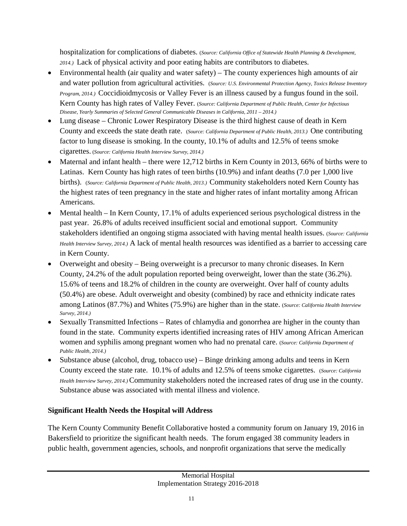hospitalization for complications of diabetes. (*Source: California Office of Statewide Health Planning & Development, 2014.)* Lack of physical activity and poor eating habits are contributors to diabetes.

- Environmental health (air quality and water safety) The county experiences high amounts of air and water pollution from agricultural activities. (*Source: U.S. Environmental Protection Agency, Toxics Release Inventory Program, 2014.)* Coccidioidmycosis or Valley Fever is an illness caused by a fungus found in the soil. Kern County has high rates of Valley Fever. (*Source: California Department of Public Health, Center for Infectious Disease, Yearly Summaries of Selected General Communicable Diseases in California, 2011 – 2014.)*
- Lung disease Chronic Lower Respiratory Disease is the third highest cause of death in Kern County and exceeds the state death rate. (*Source: California Department of Public Health, 2013.)* One contributing factor to lung disease is smoking. In the county, 10.1% of adults and 12.5% of teens smoke cigarettes. (*Source: California Health Interview Survey, 2014.)*
- Maternal and infant health there were 12,712 births in Kern County in 2013, 66% of births were to Latinas. Kern County has high rates of teen births (10.9%) and infant deaths (7.0 per 1,000 live births). (*Source: California Department of Public Health, 2013.)* Community stakeholders noted Kern County has the highest rates of teen pregnancy in the state and higher rates of infant mortality among African Americans.
- Mental health In Kern County, 17.1% of adults experienced serious psychological distress in the past year. 26.8% of adults received insufficient social and emotional support. Community stakeholders identified an ongoing stigma associated with having mental health issues. (*Source: California Health Interview Survey, 2014.)* A lack of mental health resources was identified as a barrier to accessing care in Kern County.
- Overweight and obesity Being overweight is a precursor to many chronic diseases. In Kern County, 24.2% of the adult population reported being overweight, lower than the state (36.2%). 15.6% of teens and 18.2% of children in the county are overweight. Over half of county adults (50.4%) are obese. Adult overweight and obesity (combined) by race and ethnicity indicate rates among Latinos (87.7%) and Whites (75.9%) are higher than in the state. (*Source: California Health Interview Survey, 2014.)*
- Sexually Transmitted Infections Rates of chlamydia and gonorrhea are higher in the county than found in the state. Community experts identified increasing rates of HIV among African American women and syphilis among pregnant women who had no prenatal care. (*Source: California Department of Public Health, 2014.)*
- Substance abuse (alcohol, drug, tobacco use) Binge drinking among adults and teens in Kern County exceed the state rate. 10.1% of adults and 12.5% of teens smoke cigarettes. (*Source: California Health Interview Survey, 2014.)* Community stakeholders noted the increased rates of drug use in the county. Substance abuse was associated with mental illness and violence.

#### **Significant Health Needs the Hospital will Address**

The Kern County Community Benefit Collaborative hosted a community forum on January 19, 2016 in Bakersfield to prioritize the significant health needs. The forum engaged 38 community leaders in public health, government agencies, schools, and nonprofit organizations that serve the medically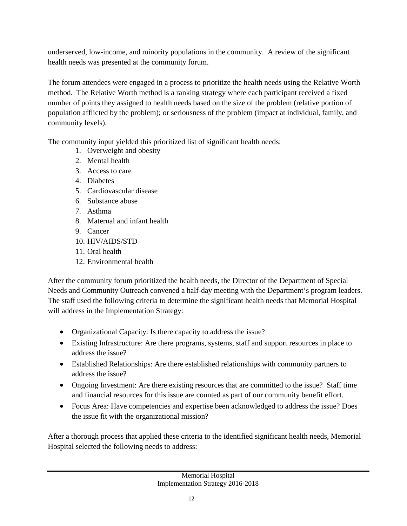underserved, low-income, and minority populations in the community. A review of the significant health needs was presented at the community forum.

The forum attendees were engaged in a process to prioritize the health needs using the Relative Worth method. The Relative Worth method is a ranking strategy where each participant received a fixed number of points they assigned to health needs based on the size of the problem (relative portion of population afflicted by the problem); or seriousness of the problem (impact at individual, family, and community levels).

The community input yielded this prioritized list of significant health needs:

- 1. Overweight and obesity
- 2. Mental health
- 3. Access to care
- 4. Diabetes
- 5. Cardiovascular disease
- 6. Substance abuse
- 7. Asthma
- 8. Maternal and infant health
- 9. Cancer
- 10. HIV/AIDS/STD
- 11. Oral health
- 12. Environmental health

After the community forum prioritized the health needs, the Director of the Department of Special Needs and Community Outreach convened a half-day meeting with the Department's program leaders. The staff used the following criteria to determine the significant health needs that Memorial Hospital will address in the Implementation Strategy:

- Organizational Capacity: Is there capacity to address the issue?
- Existing Infrastructure: Are there programs, systems, staff and support resources in place to address the issue?
- Established Relationships: Are there established relationships with community partners to address the issue?
- Ongoing Investment: Are there existing resources that are committed to the issue? Staff time and financial resources for this issue are counted as part of our community benefit effort.
- Focus Area: Have competencies and expertise been acknowledged to address the issue? Does the issue fit with the organizational mission?

After a thorough process that applied these criteria to the identified significant health needs, Memorial Hospital selected the following needs to address: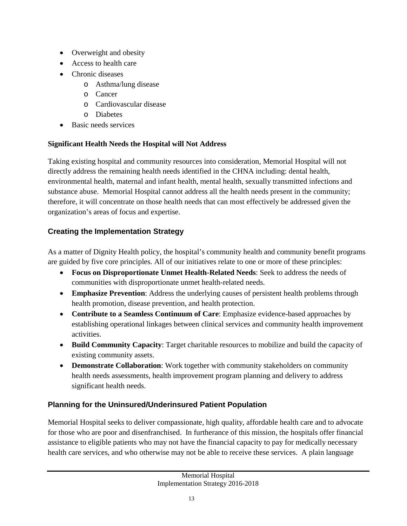- Overweight and obesity
- Access to health care
- Chronic diseases
	- o Asthma/lung disease
	- o Cancer
	- o Cardiovascular disease
	- o Diabetes
- Basic needs services

### **Significant Health Needs the Hospital will Not Address**

Taking existing hospital and community resources into consideration, Memorial Hospital will not directly address the remaining health needs identified in the CHNA including: dental health, environmental health, maternal and infant health, mental health, sexually transmitted infections and substance abuse. Memorial Hospital cannot address all the health needs present in the community; therefore, it will concentrate on those health needs that can most effectively be addressed given the organization's areas of focus and expertise.

### **Creating the Implementation Strategy**

As a matter of Dignity Health policy, the hospital's community health and community benefit programs are guided by five core principles. All of our initiatives relate to one or more of these principles:

- **Focus on Disproportionate Unmet Health-Related Needs**: Seek to address the needs of communities with disproportionate unmet health-related needs.
- **Emphasize Prevention**: Address the underlying causes of persistent health problems through health promotion, disease prevention, and health protection.
- **Contribute to a Seamless Continuum of Care**: Emphasize evidence-based approaches by establishing operational linkages between clinical services and community health improvement activities.
- **Build Community Capacity**: Target charitable resources to mobilize and build the capacity of existing community assets.
- **Demonstrate Collaboration**: Work together with community stakeholders on community health needs assessments, health improvement program planning and delivery to address significant health needs.

### **Planning for the Uninsured/Underinsured Patient Population**

Memorial Hospital seeks to deliver compassionate, high quality, affordable health care and to advocate for those who are poor and disenfranchised. In furtherance of this mission, the hospitals offer financial assistance to eligible patients who may not have the financial capacity to pay for medically necessary health care services, and who otherwise may not be able to receive these services. A plain language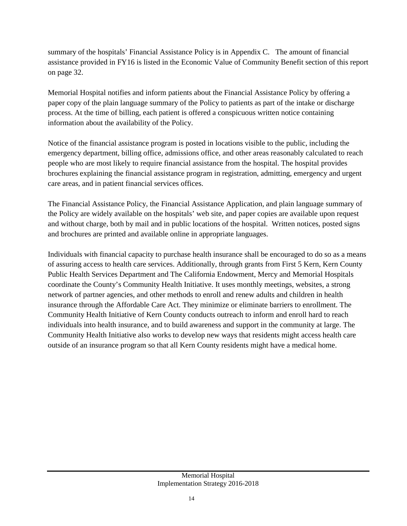summary of the hospitals' Financial Assistance Policy is in Appendix C. The amount of financial assistance provided in FY16 is listed in the Economic Value of Community Benefit section of this report on page 32.

Memorial Hospital notifies and inform patients about the Financial Assistance Policy by offering a paper copy of the plain language summary of the Policy to patients as part of the intake or discharge process. At the time of billing, each patient is offered a conspicuous written notice containing information about the availability of the Policy.

Notice of the financial assistance program is posted in locations visible to the public, including the emergency department, billing office, admissions office, and other areas reasonably calculated to reach people who are most likely to require financial assistance from the hospital. The hospital provides brochures explaining the financial assistance program in registration, admitting, emergency and urgent care areas, and in patient financial services offices.

The Financial Assistance Policy, the Financial Assistance Application, and plain language summary of the Policy are widely available on the hospitals' web site, and paper copies are available upon request and without charge, both by mail and in public locations of the hospital. Written notices, posted signs and brochures are printed and available online in appropriate languages.

Individuals with financial capacity to purchase health insurance shall be encouraged to do so as a means of assuring access to health care services. Additionally, through grants from First 5 Kern, Kern County Public Health Services Department and The California Endowment, Mercy and Memorial Hospitals coordinate the County's Community Health Initiative. It uses monthly meetings, websites, a strong network of partner agencies, and other methods to enroll and renew adults and children in health insurance through the Affordable Care Act. They minimize or eliminate barriers to enrollment. The Community Health Initiative of Kern County conducts outreach to inform and enroll hard to reach individuals into health insurance, and to build awareness and support in the community at large. The Community Health Initiative also works to develop new ways that residents might access health care outside of an insurance program so that all Kern County residents might have a medical home.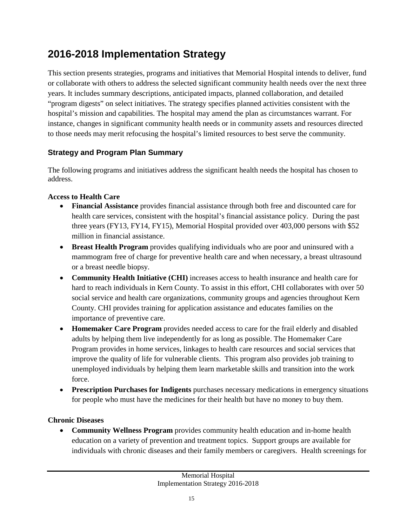## **2016-2018 Implementation Strategy**

This section presents strategies, programs and initiatives that Memorial Hospital intends to deliver, fund or collaborate with others to address the selected significant community health needs over the next three years. It includes summary descriptions, anticipated impacts, planned collaboration, and detailed "program digests" on select initiatives. The strategy specifies planned activities consistent with the hospital's mission and capabilities. The hospital may amend the plan as circumstances warrant. For instance, changes in significant community health needs or in community assets and resources directed to those needs may merit refocusing the hospital's limited resources to best serve the community.

#### **Strategy and Program Plan Summary**

The following programs and initiatives address the significant health needs the hospital has chosen to address.

#### **Access to Health Care**

- **Financial Assistance** provides financial assistance through both free and discounted care for health care services, consistent with the hospital's financial assistance policy. During the past three years (FY13, FY14, FY15), Memorial Hospital provided over 403,000 persons with \$52 million in financial assistance.
- **Breast Health Program** provides qualifying individuals who are poor and uninsured with a mammogram free of charge for preventive health care and when necessary, a breast ultrasound or a breast needle biopsy.
- **Community Health Initiative (CHI)** increases access to health insurance and health care for hard to reach individuals in Kern County. To assist in this effort, CHI collaborates with over 50 social service and health care organizations, community groups and agencies throughout Kern County. CHI provides training for application assistance and educates families on the importance of preventive care.
- **Homemaker Care Program** provides needed access to care for the frail elderly and disabled adults by helping them live independently for as long as possible. The Homemaker Care Program provides in home services, linkages to health care resources and social services that improve the quality of life for vulnerable clients. This program also provides job training to unemployed individuals by helping them learn marketable skills and transition into the work force.
- **Prescription Purchases for Indigents** purchases necessary medications in emergency situations for people who must have the medicines for their health but have no money to buy them.

#### **Chronic Diseases**

• **Community Wellness Program** provides community health education and in-home health education on a variety of prevention and treatment topics. Support groups are available for individuals with chronic diseases and their family members or caregivers. Health screenings for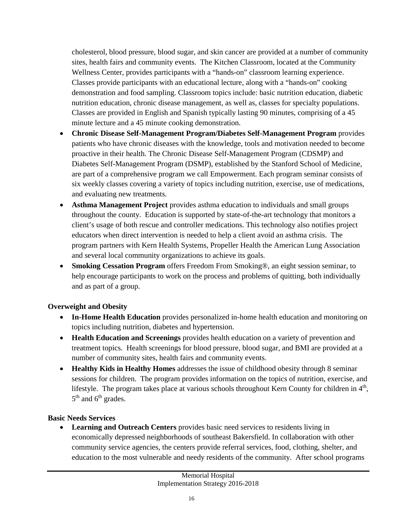cholesterol, blood pressure, blood sugar, and skin cancer are provided at a number of community sites, health fairs and community events. The Kitchen Classroom, located at the Community Wellness Center, provides participants with a "hands-on" classroom learning experience. Classes provide participants with an educational lecture, along with a "hands-on" cooking demonstration and food sampling. Classroom topics include: basic nutrition education, diabetic nutrition education, chronic disease management, as well as, classes for specialty populations. Classes are provided in English and Spanish typically lasting 90 minutes, comprising of a 45 minute lecture and a 45 minute cooking demonstration.

- **Chronic Disease Self-Management Program/Diabetes Self-Management Program** provides patients who have chronic diseases with the knowledge, tools and motivation needed to become proactive in their health. The Chronic Disease Self-Management Program (CDSMP) and Diabetes Self-Management Program (DSMP), established by the Stanford School of Medicine, are part of a comprehensive program we call Empowerment. Each program seminar consists of six weekly classes covering a variety of topics including nutrition, exercise, use of medications, and evaluating new treatments.
- **Asthma Management Project** provides asthma education to individuals and small groups throughout the county. Education is supported by state-of-the-art technology that monitors a client's usage of both rescue and controller medications. This technology also notifies project educators when direct intervention is needed to help a client avoid an asthma crisis. The program partners with Kern Health Systems, Propeller Health the American Lung Association and several local community organizations to achieve its goals.
- **Smoking Cessation Program** offers Freedom From Smoking®, an eight session seminar, to help encourage participants to work on the process and problems of quitting, both individually and as part of a group.

#### **Overweight and Obesity**

- **In-Home Health Education** provides personalized in-home health education and monitoring on topics including nutrition, diabetes and hypertension.
- **Health Education and Screenings** provides health education on a variety of prevention and treatment topics. Health screenings for blood pressure, blood sugar, and BMI are provided at a number of community sites, health fairs and community events.
- **Healthy Kids in Healthy Homes** addresses the issue of childhood obesity through 8 seminar sessions for children. The program provides information on the topics of nutrition, exercise, and lifestyle. The program takes place at various schools throughout Kern County for children in  $4<sup>th</sup>$ ,  $5<sup>th</sup>$  and  $6<sup>th</sup>$  grades.

#### **Basic Needs Services**

• **Learning and Outreach Centers** provides basic need services to residents living in economically depressed neighborhoods of southeast Bakersfield. In collaboration with other community service agencies, the centers provide referral services, food, clothing, shelter, and education to the most vulnerable and needy residents of the community. After school programs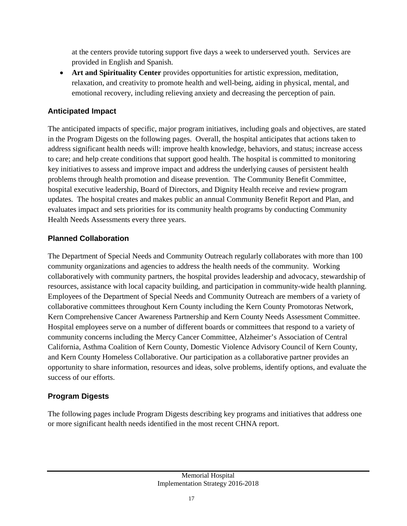at the centers provide tutoring support five days a week to underserved youth. Services are provided in English and Spanish.

• **Art and Spirituality Center** provides opportunities for artistic expression, meditation, relaxation, and creativity to promote health and well-being, aiding in physical, mental, and emotional recovery, including relieving anxiety and decreasing the perception of pain.

#### **Anticipated Impact**

The anticipated impacts of specific, major program initiatives, including goals and objectives, are stated in the Program Digests on the following pages. Overall, the hospital anticipates that actions taken to address significant health needs will: improve health knowledge, behaviors, and status; increase access to care; and help create conditions that support good health. The hospital is committed to monitoring key initiatives to assess and improve impact and address the underlying causes of persistent health problems through health promotion and disease prevention. The Community Benefit Committee, hospital executive leadership, Board of Directors, and Dignity Health receive and review program updates. The hospital creates and makes public an annual Community Benefit Report and Plan, and evaluates impact and sets priorities for its community health programs by conducting Community Health Needs Assessments every three years.

#### **Planned Collaboration**

The Department of Special Needs and Community Outreach regularly collaborates with more than 100 community organizations and agencies to address the health needs of the community. Working collaboratively with community partners, the hospital provides leadership and advocacy, stewardship of resources, assistance with local capacity building, and participation in community-wide health planning. Employees of the Department of Special Needs and Community Outreach are members of a variety of collaborative committees throughout Kern County including the Kern County Promotoras Network, Kern Comprehensive Cancer Awareness Partnership and Kern County Needs Assessment Committee. Hospital employees serve on a number of different boards or committees that respond to a variety of community concerns including the Mercy Cancer Committee, Alzheimer's Association of Central California, Asthma Coalition of Kern County, Domestic Violence Advisory Council of Kern County, and Kern County Homeless Collaborative. Our participation as a collaborative partner provides an opportunity to share information, resources and ideas, solve problems, identify options, and evaluate the success of our efforts.

### **Program Digests**

The following pages include Program Digests describing key programs and initiatives that address one or more significant health needs identified in the most recent CHNA report.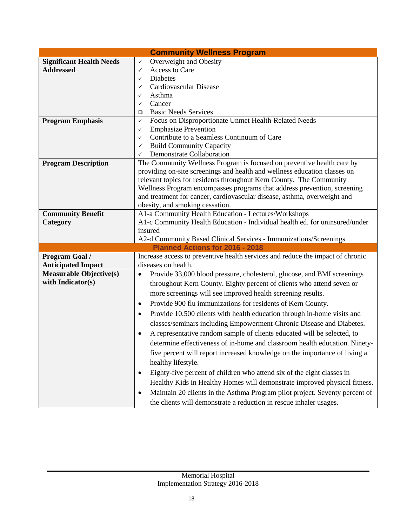| <b>Community Wellness Program</b>                                                                                                   |  |
|-------------------------------------------------------------------------------------------------------------------------------------|--|
| Overweight and Obesity<br><b>Significant Health Needs</b><br>✓                                                                      |  |
| <b>Addressed</b><br>Access to Care<br>✓                                                                                             |  |
| Diabetes<br>✓                                                                                                                       |  |
| Cardiovascular Disease<br>✓                                                                                                         |  |
| Asthma<br>✓                                                                                                                         |  |
| Cancer<br>✓                                                                                                                         |  |
| <b>Basic Needs Services</b><br>$\Box$                                                                                               |  |
| Focus on Disproportionate Unmet Health-Related Needs<br><b>Program Emphasis</b><br>✓                                                |  |
| <b>Emphasize Prevention</b><br>✓                                                                                                    |  |
| Contribute to a Seamless Continuum of Care<br>$\checkmark$                                                                          |  |
| <b>Build Community Capacity</b><br>✓                                                                                                |  |
| Demonstrate Collaboration<br>✓                                                                                                      |  |
| The Community Wellness Program is focused on preventive health care by<br><b>Program Description</b>                                |  |
| providing on-site screenings and health and wellness education classes on                                                           |  |
| relevant topics for residents throughout Kern County. The Community                                                                 |  |
| Wellness Program encompasses programs that address prevention, screening                                                            |  |
| and treatment for cancer, cardiovascular disease, asthma, overweight and                                                            |  |
| obesity, and smoking cessation.<br><b>Community Benefit</b>                                                                         |  |
| A1-a Community Health Education - Lectures/Workshops<br>A1-c Community Health Education - Individual health ed. for uninsured/under |  |
| Category<br>insured                                                                                                                 |  |
| A2-d Community Based Clinical Services - Immunizations/Screenings                                                                   |  |
| <b>Planned Actions for 2016 - 2018</b>                                                                                              |  |
| Increase access to preventive health services and reduce the impact of chronic<br>Program Goal /                                    |  |
| diseases on health.<br><b>Anticipated Impact</b>                                                                                    |  |
| <b>Measurable Objective(s)</b><br>Provide 33,000 blood pressure, cholesterol, glucose, and BMI screenings<br>$\bullet$              |  |
| with Indicator(s)<br>throughout Kern County. Eighty percent of clients who attend seven or                                          |  |
|                                                                                                                                     |  |
| more screenings will see improved health screening results.                                                                         |  |
| Provide 900 flu immunizations for residents of Kern County.<br>$\bullet$                                                            |  |
| Provide 10,500 clients with health education through in-home visits and<br>$\bullet$                                                |  |
| classes/seminars including Empowerment-Chronic Disease and Diabetes.                                                                |  |
| A representative random sample of clients educated will be selected, to                                                             |  |
| determine effectiveness of in-home and classroom health education. Ninety-                                                          |  |
| five percent will report increased knowledge on the importance of living a                                                          |  |
| healthy lifestyle.                                                                                                                  |  |
| Eighty-five percent of children who attend six of the eight classes in<br>$\bullet$                                                 |  |
| Healthy Kids in Healthy Homes will demonstrate improved physical fitness.                                                           |  |
| Maintain 20 clients in the Asthma Program pilot project. Seventy percent of<br>٠                                                    |  |
| the clients will demonstrate a reduction in rescue inhaler usages.                                                                  |  |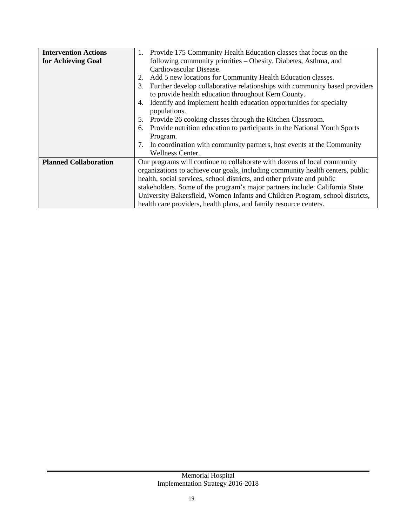| <b>Intervention Actions</b>  | 1. Provide 175 Community Health Education classes that focus on the              |
|------------------------------|----------------------------------------------------------------------------------|
| for Achieving Goal           | following community priorities - Obesity, Diabetes, Asthma, and                  |
|                              | Cardiovascular Disease.                                                          |
|                              | Add 5 new locations for Community Health Education classes.<br>2.                |
|                              | Further develop collaborative relationships with community based providers<br>3. |
|                              | to provide health education throughout Kern County.                              |
|                              | Identify and implement health education opportunities for specialty<br>4.        |
|                              | populations.                                                                     |
|                              | Provide 26 cooking classes through the Kitchen Classroom.<br>5.                  |
|                              | Provide nutrition education to participants in the National Youth Sports<br>6.   |
|                              | Program.                                                                         |
|                              | 7. In coordination with community partners, host events at the Community         |
|                              | Wellness Center.                                                                 |
| <b>Planned Collaboration</b> | Our programs will continue to collaborate with dozens of local community         |
|                              | organizations to achieve our goals, including community health centers, public   |
|                              | health, social services, school districts, and other private and public          |
|                              | stakeholders. Some of the program's major partners include: California State     |
|                              | University Bakersfield, Women Infants and Children Program, school districts,    |
|                              | health care providers, health plans, and family resource centers.                |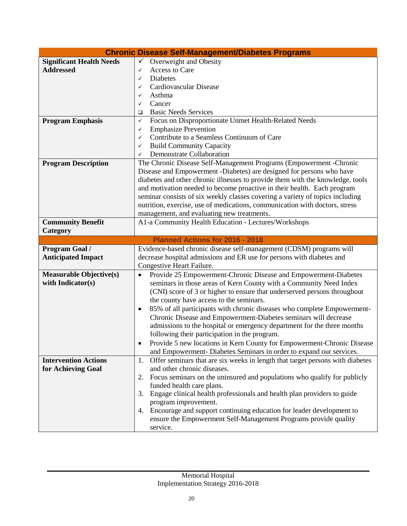| <b>Chronic Disease Self-Management/Diabetes Programs</b> |                                                                                      |
|----------------------------------------------------------|--------------------------------------------------------------------------------------|
| <b>Significant Health Needs</b>                          | Overweight and Obesity<br>$\checkmark$                                               |
| <b>Addressed</b>                                         | Access to Care<br>✓                                                                  |
|                                                          | Diabetes<br>✓                                                                        |
|                                                          | Cardiovascular Disease<br>✓                                                          |
|                                                          | Asthma<br>✓                                                                          |
|                                                          | Cancer<br>✓                                                                          |
|                                                          | <b>Basic Needs Services</b><br>□                                                     |
| <b>Program Emphasis</b>                                  | Focus on Disproportionate Unmet Health-Related Needs<br>✓                            |
|                                                          | <b>Emphasize Prevention</b><br>✓                                                     |
|                                                          | Contribute to a Seamless Continuum of Care<br>✓                                      |
|                                                          | <b>Build Community Capacity</b><br>✓                                                 |
|                                                          | Demonstrate Collaboration<br>✓                                                       |
| <b>Program Description</b>                               | The Chronic Disease Self-Management Programs (Empowerment -Chronic                   |
|                                                          | Disease and Empowerment -Diabetes) are designed for persons who have                 |
|                                                          | diabetes and other chronic illnesses to provide them with the knowledge, tools       |
|                                                          | and motivation needed to become proactive in their health. Each program              |
|                                                          | seminar consists of six weekly classes covering a variety of topics including        |
|                                                          | nutrition, exercise, use of medications, communication with doctors, stress          |
|                                                          | management, and evaluating new treatments.                                           |
| <b>Community Benefit</b>                                 | A1-a Community Health Education - Lectures/Workshops                                 |
| Category                                                 |                                                                                      |
|                                                          | Planned Actions for 2016 - 2018                                                      |
|                                                          |                                                                                      |
| Program Goal /                                           | Evidence-based chronic disease self-management (CDSM) programs will                  |
| <b>Anticipated Impact</b>                                | decrease hospital admissions and ER use for persons with diabetes and                |
|                                                          | Congestive Heart Failure.                                                            |
| <b>Measurable Objective(s)</b>                           | Provide 25 Empowerment-Chronic Disease and Empowerment-Diabetes<br>$\bullet$         |
| with Indicator(s)                                        | seminars in those areas of Kern County with a Community Need Index                   |
|                                                          | (CNI) score of 3 or higher to ensure that underserved persons throughout             |
|                                                          | the county have access to the seminars.                                              |
|                                                          | 85% of all participants with chronic diseases who complete Empowerment-<br>$\bullet$ |
|                                                          | Chronic Disease and Empowerment-Diabetes seminars will decrease                      |
|                                                          | admissions to the hospital or emergency department for the three months              |
|                                                          | following their participation in the program.                                        |
|                                                          | Provide 5 new locations in Kern County for Empowerment-Chronic Disease               |
|                                                          | and Empowerment-Diabetes Seminars in order to expand our services.                   |
| <b>Intervention Actions</b>                              | Offer seminars that are six weeks in length that target persons with diabetes<br>1.  |
| for Achieving Goal                                       | and other chronic diseases.                                                          |
|                                                          | Focus seminars on the uninsured and populations who qualify for publicly<br>2.       |
|                                                          | funded health care plans.                                                            |
|                                                          | Engage clinical health professionals and health plan providers to guide<br>3.        |
|                                                          | program improvement.                                                                 |
|                                                          | Encourage and support continuing education for leader development to<br>4.           |
|                                                          |                                                                                      |
|                                                          | ensure the Empowerment Self-Management Programs provide quality                      |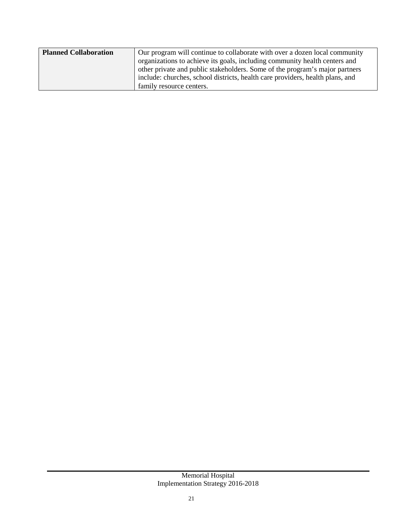| <b>Planned Collaboration</b> | Our program will continue to collaborate with over a dozen local community    |
|------------------------------|-------------------------------------------------------------------------------|
|                              | organizations to achieve its goals, including community health centers and    |
|                              | other private and public stakeholders. Some of the program's major partners   |
|                              | include: churches, school districts, health care providers, health plans, and |
|                              | family resource centers.                                                      |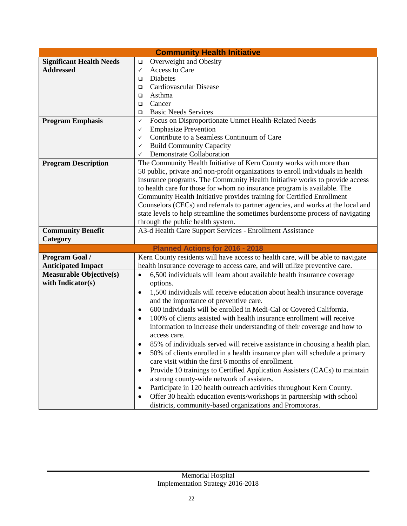| <b>Community Health Initiative</b> |                                                                                                                                                                   |
|------------------------------------|-------------------------------------------------------------------------------------------------------------------------------------------------------------------|
| <b>Significant Health Needs</b>    | Overweight and Obesity<br>$\Box$                                                                                                                                  |
| <b>Addressed</b>                   | Access to Care<br>✓                                                                                                                                               |
|                                    | Diabetes<br>$\Box$                                                                                                                                                |
|                                    | Cardiovascular Disease<br>□                                                                                                                                       |
|                                    | Asthma<br>□                                                                                                                                                       |
|                                    | Cancer<br>□                                                                                                                                                       |
|                                    | <b>Basic Needs Services</b><br>□                                                                                                                                  |
| <b>Program Emphasis</b>            | Focus on Disproportionate Unmet Health-Related Needs<br>✓                                                                                                         |
|                                    | <b>Emphasize Prevention</b><br>✓                                                                                                                                  |
|                                    | Contribute to a Seamless Continuum of Care<br>✓                                                                                                                   |
|                                    | <b>Build Community Capacity</b><br>✓                                                                                                                              |
|                                    | Demonstrate Collaboration<br>✓                                                                                                                                    |
| <b>Program Description</b>         | The Community Health Initiative of Kern County works with more than                                                                                               |
|                                    | 50 public, private and non-profit organizations to enroll individuals in health                                                                                   |
|                                    | insurance programs. The Community Health Initiative works to provide access                                                                                       |
|                                    | to health care for those for whom no insurance program is available. The                                                                                          |
|                                    | Community Health Initiative provides training for Certified Enrollment                                                                                            |
|                                    | Counselors (CECs) and referrals to partner agencies, and works at the local and<br>state levels to help streamline the sometimes burdensome process of navigating |
|                                    | through the public health system.                                                                                                                                 |
| <b>Community Benefit</b>           | A3-d Health Care Support Services - Enrollment Assistance                                                                                                         |
| Category                           |                                                                                                                                                                   |
|                                    | Planned Actions for 2016 - 2018                                                                                                                                   |
| Program Goal /                     | Kern County residents will have access to health care, will be able to navigate                                                                                   |
| <b>Anticipated Impact</b>          | health insurance coverage to access care, and will utilize preventive care.                                                                                       |
| <b>Measurable Objective(s)</b>     | 6,500 individuals will learn about available health insurance coverage<br>$\bullet$                                                                               |
| with Indicator(s)                  | options.                                                                                                                                                          |
|                                    | 1,500 individuals will receive education about health insurance coverage<br>$\bullet$                                                                             |
|                                    | and the importance of preventive care.                                                                                                                            |
|                                    | 600 individuals will be enrolled in Medi-Cal or Covered California.<br>$\bullet$                                                                                  |
|                                    | 100% of clients assisted with health insurance enrollment will receive<br>$\bullet$                                                                               |
|                                    | information to increase their understanding of their coverage and how to                                                                                          |
|                                    | access care.                                                                                                                                                      |
|                                    | 85% of individuals served will receive assistance in choosing a health plan.                                                                                      |
|                                    | 50% of clients enrolled in a health insurance plan will schedule a primary<br>$\bullet$                                                                           |
|                                    | care visit within the first 6 months of enrollment.                                                                                                               |
|                                    | Provide 10 trainings to Certified Application Assisters (CACs) to maintain<br>٠                                                                                   |
|                                    | a strong county-wide network of assisters.                                                                                                                        |
|                                    | Participate in 120 health outreach activities throughout Kern County.<br>$\bullet$                                                                                |
|                                    | Offer 30 health education events/workshops in partnership with school<br>$\bullet$                                                                                |
|                                    | districts, community-based organizations and Promotoras.                                                                                                          |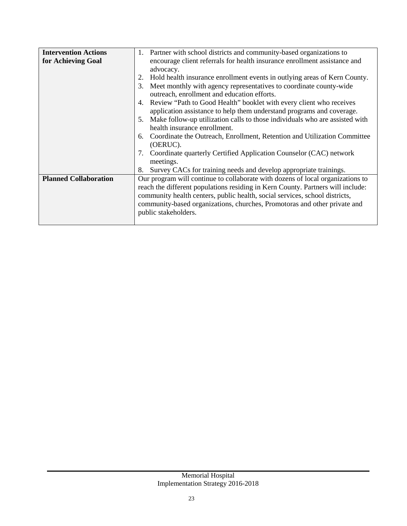| <b>Intervention Actions</b>  | Partner with school districts and community-based organizations to<br>1.                                                                                                                                                                         |
|------------------------------|--------------------------------------------------------------------------------------------------------------------------------------------------------------------------------------------------------------------------------------------------|
| for Achieving Goal           | encourage client referrals for health insurance enrollment assistance and<br>advocacy.                                                                                                                                                           |
|                              | Hold health insurance enrollment events in outlying areas of Kern County.                                                                                                                                                                        |
|                              | Meet monthly with agency representatives to coordinate county-wide<br>3.<br>outreach, enrollment and education efforts.                                                                                                                          |
|                              | Review "Path to Good Health" booklet with every client who receives<br>4.<br>application assistance to help them understand programs and coverage.                                                                                               |
|                              | Make follow-up utilization calls to those individuals who are assisted with<br>5.<br>health insurance enrollment.                                                                                                                                |
|                              | Coordinate the Outreach, Enrollment, Retention and Utilization Committee<br>6.<br>(OERUC).                                                                                                                                                       |
|                              | Coordinate quarterly Certified Application Counselor (CAC) network<br>7.<br>meetings.                                                                                                                                                            |
|                              | Survey CACs for training needs and develop appropriate trainings.<br>8.                                                                                                                                                                          |
| <b>Planned Collaboration</b> | Our program will continue to collaborate with dozens of local organizations to<br>reach the different populations residing in Kern County. Partners will include:<br>community health centers, public health, social services, school districts, |
|                              | community-based organizations, churches, Promotoras and other private and<br>public stakeholders.                                                                                                                                                |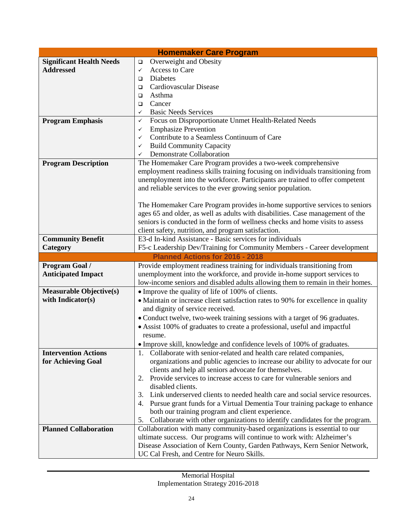| <b>Homemaker Care Program</b>   |                                                                                                                         |
|---------------------------------|-------------------------------------------------------------------------------------------------------------------------|
| <b>Significant Health Needs</b> | Overweight and Obesity<br>$\Box$                                                                                        |
| <b>Addressed</b>                | Access to Care<br>$\checkmark$                                                                                          |
|                                 | Diabetes<br>$\Box$                                                                                                      |
|                                 | Cardiovascular Disease<br>$\Box$                                                                                        |
|                                 | Asthma<br>$\Box$                                                                                                        |
|                                 | Cancer<br>$\Box$                                                                                                        |
|                                 | <b>Basic Needs Services</b><br>✓                                                                                        |
| <b>Program Emphasis</b>         | Focus on Disproportionate Unmet Health-Related Needs<br>✓                                                               |
|                                 | <b>Emphasize Prevention</b><br>✓                                                                                        |
|                                 | Contribute to a Seamless Continuum of Care<br>✓                                                                         |
|                                 | <b>Build Community Capacity</b><br>✓                                                                                    |
|                                 | <b>Demonstrate Collaboration</b><br>✓                                                                                   |
| <b>Program Description</b>      | The Homemaker Care Program provides a two-week comprehensive                                                            |
|                                 | employment readiness skills training focusing on individuals transitioning from                                         |
|                                 | unemployment into the workforce. Participants are trained to offer competent                                            |
|                                 | and reliable services to the ever growing senior population.                                                            |
|                                 |                                                                                                                         |
|                                 | The Homemaker Care Program provides in-home supportive services to seniors                                              |
|                                 | ages 65 and older, as well as adults with disabilities. Case management of the                                          |
|                                 | seniors is conducted in the form of wellness checks and home visits to assess                                           |
|                                 | client safety, nutrition, and program satisfaction.                                                                     |
| <b>Community Benefit</b>        | E3-d In-kind Assistance - Basic services for individuals                                                                |
| Category                        | F5-c Leadership Dev/Training for Community Members - Career development                                                 |
|                                 | <b>Planned Actions for 2016 - 2018</b>                                                                                  |
|                                 |                                                                                                                         |
|                                 |                                                                                                                         |
| Program Goal /                  | Provide employment readiness training for individuals transitioning from                                                |
| <b>Anticipated Impact</b>       | unemployment into the workforce, and provide in-home support services to                                                |
|                                 | low-income seniors and disabled adults allowing them to remain in their homes.                                          |
| <b>Measurable Objective(s)</b>  | • Improve the quality of life of 100% of clients.                                                                       |
| with Indicator(s)               | • Maintain or increase client satisfaction rates to 90% for excellence in quality                                       |
|                                 | and dignity of service received.                                                                                        |
|                                 | • Conduct twelve, two-week training sessions with a target of 96 graduates.                                             |
|                                 | • Assist 100% of graduates to create a professional, useful and impactful                                               |
|                                 | resume.                                                                                                                 |
|                                 | · Improve skill, knowledge and confidence levels of 100% of graduates.                                                  |
| <b>Intervention Actions</b>     | 1. Collaborate with senior-related and health care related companies,                                                   |
| for Achieving Goal              | organizations and public agencies to increase our ability to advocate for our                                           |
|                                 | clients and help all seniors advocate for themselves.                                                                   |
|                                 | Provide services to increase access to care for vulnerable seniors and<br>2.                                            |
|                                 | disabled clients.                                                                                                       |
|                                 | Link underserved clients to needed health care and social service resources.<br>3.                                      |
|                                 | Pursue grant funds for a Virtual Dementia Tour training package to enhance<br>4.                                        |
|                                 | both our training program and client experience.                                                                        |
|                                 | Collaborate with other organizations to identify candidates for the program.<br>5.                                      |
| <b>Planned Collaboration</b>    | Collaboration with many community-based organizations is essential to our                                               |
|                                 | ultimate success. Our programs will continue to work with: Alzheimer's                                                  |
|                                 | Disease Association of Kern County, Garden Pathways, Kern Senior Network,<br>UC Cal Fresh, and Centre for Neuro Skills. |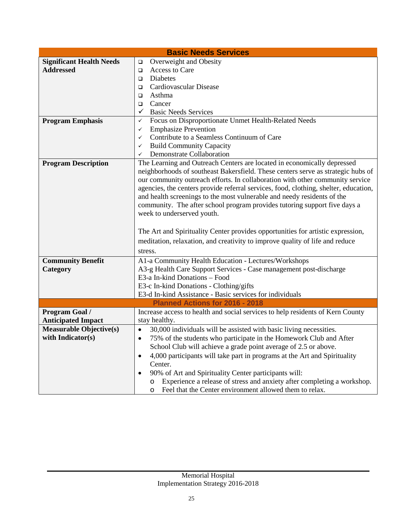| <b>Basic Needs Services</b>     |                                                                                                                                                                                                                                                                                                                                                                                                                                                                                                                                                                                                                                                                                               |
|---------------------------------|-----------------------------------------------------------------------------------------------------------------------------------------------------------------------------------------------------------------------------------------------------------------------------------------------------------------------------------------------------------------------------------------------------------------------------------------------------------------------------------------------------------------------------------------------------------------------------------------------------------------------------------------------------------------------------------------------|
| <b>Significant Health Needs</b> | Overweight and Obesity<br>$\Box$                                                                                                                                                                                                                                                                                                                                                                                                                                                                                                                                                                                                                                                              |
| <b>Addressed</b>                | Access to Care<br>$\Box$                                                                                                                                                                                                                                                                                                                                                                                                                                                                                                                                                                                                                                                                      |
|                                 | Diabetes<br>$\Box$                                                                                                                                                                                                                                                                                                                                                                                                                                                                                                                                                                                                                                                                            |
|                                 | Cardiovascular Disease<br>$\Box$                                                                                                                                                                                                                                                                                                                                                                                                                                                                                                                                                                                                                                                              |
|                                 | Asthma<br>$\Box$                                                                                                                                                                                                                                                                                                                                                                                                                                                                                                                                                                                                                                                                              |
|                                 | Cancer<br>$\Box$                                                                                                                                                                                                                                                                                                                                                                                                                                                                                                                                                                                                                                                                              |
|                                 | $\checkmark$ Basic Needs Services                                                                                                                                                                                                                                                                                                                                                                                                                                                                                                                                                                                                                                                             |
| <b>Program Emphasis</b>         | Focus on Disproportionate Unmet Health-Related Needs<br>$\checkmark$                                                                                                                                                                                                                                                                                                                                                                                                                                                                                                                                                                                                                          |
|                                 | <b>Emphasize Prevention</b><br>✓                                                                                                                                                                                                                                                                                                                                                                                                                                                                                                                                                                                                                                                              |
|                                 | Contribute to a Seamless Continuum of Care<br>✓                                                                                                                                                                                                                                                                                                                                                                                                                                                                                                                                                                                                                                               |
|                                 | <b>Build Community Capacity</b><br>✓                                                                                                                                                                                                                                                                                                                                                                                                                                                                                                                                                                                                                                                          |
|                                 | Demonstrate Collaboration<br>✓                                                                                                                                                                                                                                                                                                                                                                                                                                                                                                                                                                                                                                                                |
| <b>Program Description</b>      | The Learning and Outreach Centers are located in economically depressed<br>neighborhoods of southeast Bakersfield. These centers serve as strategic hubs of<br>our community outreach efforts. In collaboration with other community service<br>agencies, the centers provide referral services, food, clothing, shelter, education,<br>and health screenings to the most vulnerable and needy residents of the<br>community. The after school program provides tutoring support five days a<br>week to underserved youth.<br>The Art and Spirituality Center provides opportunities for artistic expression,<br>meditation, relaxation, and creativity to improve quality of life and reduce |
|                                 | stress.                                                                                                                                                                                                                                                                                                                                                                                                                                                                                                                                                                                                                                                                                       |
| <b>Community Benefit</b>        | A1-a Community Health Education - Lectures/Workshops                                                                                                                                                                                                                                                                                                                                                                                                                                                                                                                                                                                                                                          |
| Category                        | A3-g Health Care Support Services - Case management post-discharge                                                                                                                                                                                                                                                                                                                                                                                                                                                                                                                                                                                                                            |
|                                 | E3-a In-kind Donations - Food                                                                                                                                                                                                                                                                                                                                                                                                                                                                                                                                                                                                                                                                 |
|                                 | E3-c In-kind Donations - Clothing/gifts                                                                                                                                                                                                                                                                                                                                                                                                                                                                                                                                                                                                                                                       |
|                                 | E3-d In-kind Assistance - Basic services for individuals                                                                                                                                                                                                                                                                                                                                                                                                                                                                                                                                                                                                                                      |
|                                 | Planned Actions for 2016 - 2018                                                                                                                                                                                                                                                                                                                                                                                                                                                                                                                                                                                                                                                               |
| Program Goal /                  | Increase access to health and social services to help residents of Kern County                                                                                                                                                                                                                                                                                                                                                                                                                                                                                                                                                                                                                |
| <b>Anticipated Impact</b>       | stay healthy.                                                                                                                                                                                                                                                                                                                                                                                                                                                                                                                                                                                                                                                                                 |
| <b>Measurable Objective(s)</b>  | 30,000 individuals will be assisted with basic living necessities.<br>$\bullet$                                                                                                                                                                                                                                                                                                                                                                                                                                                                                                                                                                                                               |
| with Indicator(s)               | 75% of the students who participate in the Homework Club and After<br>$\bullet$                                                                                                                                                                                                                                                                                                                                                                                                                                                                                                                                                                                                               |
|                                 | School Club will achieve a grade point average of 2.5 or above.                                                                                                                                                                                                                                                                                                                                                                                                                                                                                                                                                                                                                               |
|                                 | 4,000 participants will take part in programs at the Art and Spirituality<br>$\bullet$                                                                                                                                                                                                                                                                                                                                                                                                                                                                                                                                                                                                        |
|                                 | Center.                                                                                                                                                                                                                                                                                                                                                                                                                                                                                                                                                                                                                                                                                       |
|                                 | 90% of Art and Spirituality Center participants will:<br>$\bullet$                                                                                                                                                                                                                                                                                                                                                                                                                                                                                                                                                                                                                            |
|                                 | Experience a release of stress and anxiety after completing a workshop.<br>$\circ$                                                                                                                                                                                                                                                                                                                                                                                                                                                                                                                                                                                                            |
|                                 | Feel that the Center environment allowed them to relax.<br>$\circ$                                                                                                                                                                                                                                                                                                                                                                                                                                                                                                                                                                                                                            |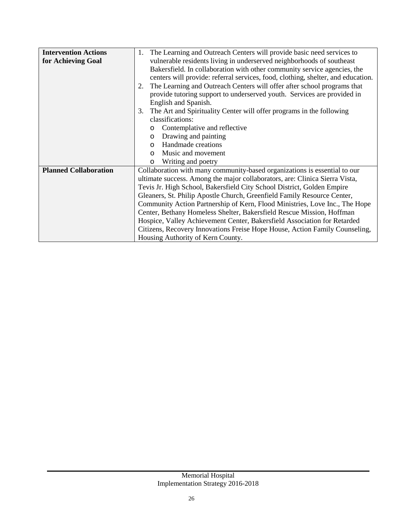| <b>Intervention Actions</b>  | The Learning and Outreach Centers will provide basic need services to<br>1.      |
|------------------------------|----------------------------------------------------------------------------------|
| for Achieving Goal           | vulnerable residents living in underserved neighborhoods of southeast            |
|                              | Bakersfield. In collaboration with other community service agencies, the         |
|                              | centers will provide: referral services, food, clothing, shelter, and education. |
|                              | The Learning and Outreach Centers will offer after school programs that<br>2.    |
|                              | provide tutoring support to underserved youth. Services are provided in          |
|                              | English and Spanish.                                                             |
|                              | The Art and Spirituality Center will offer programs in the following<br>3.       |
|                              | classifications:                                                                 |
|                              | Contemplative and reflective                                                     |
|                              | Drawing and painting<br>$\circ$                                                  |
|                              | Handmade creations<br>$\Omega$                                                   |
|                              | Music and movement<br>$\Omega$                                                   |
|                              | Writing and poetry<br>$\circ$                                                    |
| <b>Planned Collaboration</b> | Collaboration with many community-based organizations is essential to our        |
|                              | ultimate success. Among the major collaborators, are: Clinica Sierra Vista,      |
|                              | Tevis Jr. High School, Bakersfield City School District, Golden Empire           |
|                              | Gleaners, St. Philip Apostle Church, Greenfield Family Resource Center,          |
|                              | Community Action Partnership of Kern, Flood Ministries, Love Inc., The Hope      |
|                              | Center, Bethany Homeless Shelter, Bakersfield Rescue Mission, Hoffman            |
|                              | Hospice, Valley Achievement Center, Bakersfield Association for Retarded         |
|                              | Citizens, Recovery Innovations Freise Hope House, Action Family Counseling,      |
|                              | Housing Authority of Kern County.                                                |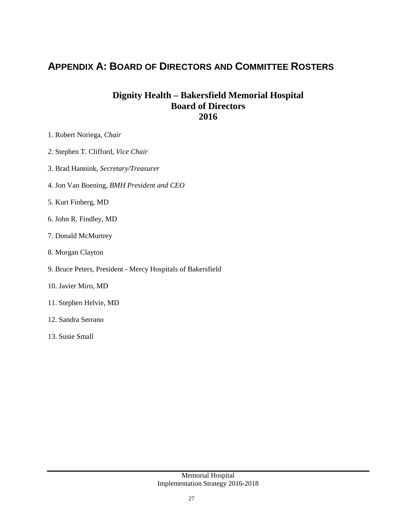### **APPENDIX A: BOARD OF DIRECTORS AND COMMITTEE ROSTERS**

#### **Dignity Health – Bakersfield Memorial Hospital Board of Directors 2016**

- 1. Robert Noriega, *Chair*
- *2.* Stephen T. Clifford, *Vice Chair*
- 3. Brad Hannink, *Secretary/Treasurer*
- 4. Jon Van Boening, *BMH President and CEO*
- 5. Kurt Finberg, MD
- 6. John R. Findley, MD
- 7. Donald McMurtrey
- 8. Morgan Clayton
- 9. Bruce Peters, President Mercy Hospitals of Bakersfield
- 10. Javier Miro, MD
- 11. Stephen Helvie, MD
- 12. Sandra Serrano
- 13. Susie Small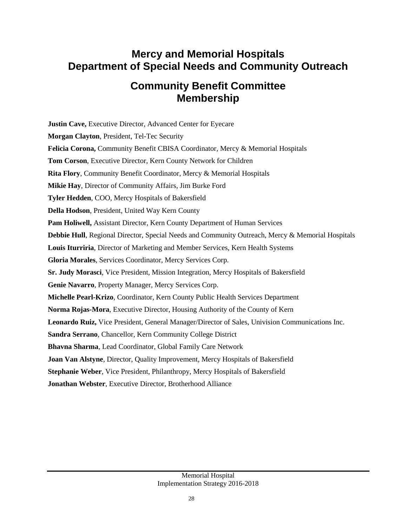### **Mercy and Memorial Hospitals Department of Special Needs and Community Outreach**

### **Community Benefit Committee Membership**

**Justin Cave, Executive Director, Advanced Center for Eyecare Morgan Clayton**, President, Tel-Tec Security **Felicia Corona,** Community Benefit CBISA Coordinator, Mercy & Memorial Hospitals **Tom Corson**, Executive Director, Kern County Network for Children **Rita Flory**, Community Benefit Coordinator, Mercy & Memorial Hospitals **Mikie Hay**, Director of Community Affairs, Jim Burke Ford **Tyler Hedden**, COO, Mercy Hospitals of Bakersfield **Della Hodson**, President, United Way Kern County **Pam Holiwell,** Assistant Director, Kern County Department of Human Services **Debbie Hull**, Regional Director, Special Needs and Community Outreach, Mercy & Memorial Hospitals **Louis Iturriria**, Director of Marketing and Member Services, Kern Health Systems **Gloria Morales**, Services Coordinator, Mercy Services Corp. **Sr. Judy Morasci**, Vice President, Mission Integration, Mercy Hospitals of Bakersfield **Genie Navarro**, Property Manager, Mercy Services Corp. **Michelle Pearl-Krizo**, Coordinator, Kern County Public Health Services Department **Norma Rojas-Mora**, Executive Director, Housing Authority of the County of Kern **Leonardo Ruiz,** Vice President, General Manager/Director of Sales, Univision Communications Inc. **Sandra Serrano**, Chancellor, Kern Community College District **Bhavna Sharma**, Lead Coordinator, Global Family Care Network **Joan Van Alstyne**, Director, Quality Improvement, Mercy Hospitals of Bakersfield **Stephanie Weber**, Vice President, Philanthropy, Mercy Hospitals of Bakersfield **Jonathan Webster**, Executive Director, Brotherhood Alliance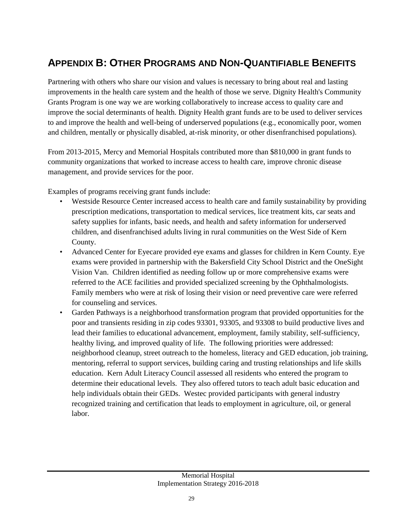## **APPENDIX B: OTHER PROGRAMS AND NON-QUANTIFIABLE BENEFITS**

Partnering with others who share our vision and values is necessary to bring about real and lasting improvements in the health care system and the health of those we serve. Dignity Health's Community Grants Program is one way we are working collaboratively to increase access to quality care and improve the social determinants of health. Dignity Health grant funds are to be used to deliver services to and improve the health and well-being of underserved populations (e.g., economically poor, women and children, mentally or physically disabled, at-risk minority, or other disenfranchised populations).

From 2013-2015, Mercy and Memorial Hospitals contributed more than \$810,000 in grant funds to community organizations that worked to increase access to health care, improve chronic disease management, and provide services for the poor.

Examples of programs receiving grant funds include:

- Westside Resource Center increased access to health care and family sustainability by providing prescription medications, transportation to medical services, lice treatment kits, car seats and safety supplies for infants, basic needs, and health and safety information for underserved children, and disenfranchised adults living in rural communities on the West Side of Kern County.
- Advanced Center for Eyecare provided eye exams and glasses for children in Kern County. Eye exams were provided in partnership with the Bakersfield City School District and the OneSight Vision Van. Children identified as needing follow up or more comprehensive exams were referred to the ACE facilities and provided specialized screening by the Ophthalmologists. Family members who were at risk of losing their vision or need preventive care were referred for counseling and services.
- Garden Pathways is a neighborhood transformation program that provided opportunities for the poor and transients residing in zip codes 93301, 93305, and 93308 to build productive lives and lead their families to educational advancement, employment, family stability, self-sufficiency, healthy living, and improved quality of life. The following priorities were addressed: neighborhood cleanup, street outreach to the homeless, literacy and GED education, job training, mentoring, referral to support services, building caring and trusting relationships and life skills education. Kern Adult Literacy Council assessed all residents who entered the program to determine their educational levels. They also offered tutors to teach adult basic education and help individuals obtain their GEDs. Westec provided participants with general industry recognized training and certification that leads to employment in agriculture, oil, or general labor.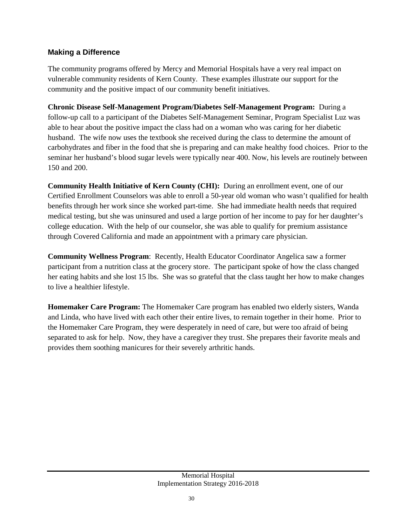#### **Making a Difference**

The community programs offered by Mercy and Memorial Hospitals have a very real impact on vulnerable community residents of Kern County. These examples illustrate our support for the community and the positive impact of our community benefit initiatives.

**Chronic Disease Self-Management Program/Diabetes Self-Management Program:** During a follow-up call to a participant of the Diabetes Self-Management Seminar, Program Specialist Luz was able to hear about the positive impact the class had on a woman who was caring for her diabetic husband. The wife now uses the textbook she received during the class to determine the amount of carbohydrates and fiber in the food that she is preparing and can make healthy food choices. Prior to the seminar her husband's blood sugar levels were typically near 400. Now, his levels are routinely between 150 and 200.

**Community Health Initiative of Kern County (CHI):** During an enrollment event, one of our Certified Enrollment Counselors was able to enroll a 50-year old woman who wasn't qualified for health benefits through her work since she worked part-time. She had immediate health needs that required medical testing, but she was uninsured and used a large portion of her income to pay for her daughter's college education. With the help of our counselor, she was able to qualify for premium assistance through Covered California and made an appointment with a primary care physician.

**Community Wellness Program**: Recently, Health Educator Coordinator Angelica saw a former participant from a nutrition class at the grocery store. The participant spoke of how the class changed her eating habits and she lost 15 lbs. She was so grateful that the class taught her how to make changes to live a healthier lifestyle.

**Homemaker Care Program:** The Homemaker Care program has enabled two elderly sisters, Wanda and Linda, who have lived with each other their entire lives, to remain together in their home. Prior to the Homemaker Care Program, they were desperately in need of care, but were too afraid of being separated to ask for help. Now, they have a caregiver they trust. She prepares their favorite meals and provides them soothing manicures for their severely arthritic hands.